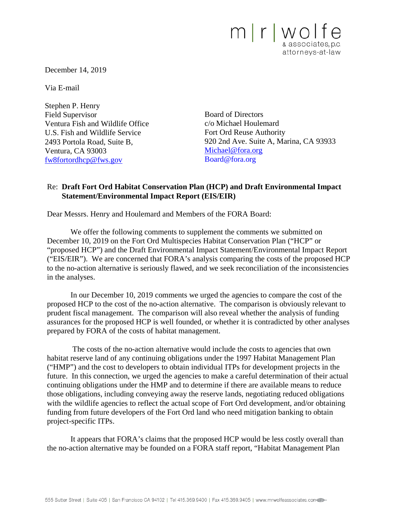

December 14, 2019

Via E-mail

Stephen P. Henry Field Supervisor Ventura Fish and Wildlife Office U.S. Fish and Wildlife Service 2493 Portola Road, Suite B, Ventura, CA 93003 [fw8fortordhcp@fws.gov](mailto:fw8fortordhcp@fws.gov)

Board of Directors c/o Michael Houlemard Fort Ord Reuse Authority 920 2nd Ave. Suite A, Marina, CA 93933 [Michael@fora.org](mailto:Michael@fora.org) Board@fora.org

## Re: **Draft Fort Ord Habitat Conservation Plan (HCP) and Draft Environmental Impact Statement/Environmental Impact Report (EIS/EIR)**

Dear Messrs. Henry and Houlemard and Members of the FORA Board:

We offer the following comments to supplement the comments we submitted on December 10, 2019 on the Fort Ord Multispecies Habitat Conservation Plan ("HCP" or "proposed HCP") and the Draft Environmental Impact Statement/Environmental Impact Report ("EIS/EIR"). We are concerned that FORA's analysis comparing the costs of the proposed HCP to the no-action alternative is seriously flawed, and we seek reconciliation of the inconsistencies in the analyses.

In our December 10, 2019 comments we urged the agencies to compare the cost of the proposed HCP to the cost of the no-action alternative. The comparison is obviously relevant to prudent fiscal management. The comparison will also reveal whether the analysis of funding assurances for the proposed HCP is well founded, or whether it is contradicted by other analyses prepared by FORA of the costs of habitat management.

The costs of the no-action alternative would include the costs to agencies that own habitat reserve land of any continuing obligations under the 1997 Habitat Management Plan ("HMP") and the cost to developers to obtain individual ITPs for development projects in the future. In this connection, we urged the agencies to make a careful determination of their actual continuing obligations under the HMP and to determine if there are available means to reduce those obligations, including conveying away the reserve lands, negotiating reduced obligations with the wildlife agencies to reflect the actual scope of Fort Ord development, and/or obtaining funding from future developers of the Fort Ord land who need mitigation banking to obtain project-specific ITPs.

It appears that FORA's claims that the proposed HCP would be less costly overall than the no-action alternative may be founded on a FORA staff report, "Habitat Management Plan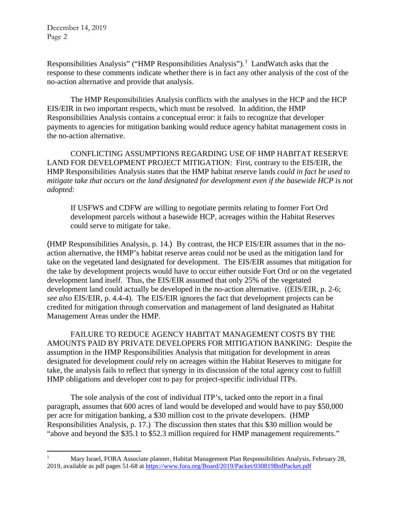Responsibilities Analysis" ("HMP Responsibilities Analysis").<sup>[1](#page-1-0)</sup> LandWatch asks that the response to these comments indicate whether there is in fact any other analysis of the cost of the no-action alternative and provide that analysis.

The HMP Responsibilities Analysis conflicts with the analyses in the HCP and the HCP EIS/EIR in two important respects, which must be resolved. In addition, the HMP Responsibilities Analysis contains a conceptual error: it fails to recognize that developer payments to agencies for mitigation banking would reduce agency habitat management costs in the no-action alternative.

CONFLICTING ASSUMPTIONS REGARDING USE OF HMP HABITAT RESERVE LAND FOR DEVELOPMENT PROJECT MITIGATION: First, contrary to the EIS/EIR, the HMP Responsibilities Analysis states that the HMP habitat reserve lands *could in fact be used to mitigate take that occurs on the land designated for development even if the basewide HCP is not adopted:*

If USFWS and CDFW are willing to negotiate permits relating to former Fort Ord development parcels without a basewide HCP, acreages within the Habitat Reserves could serve to mitigate for take.

(HMP Responsibilities Analysis, p. 14.) By contrast, the HCP EIS/EIR assumes that in the noaction alternative, the HMP's habitat reserve areas could *not* be used as the mitigation land for take on the vegetated land designated for development. The EIS/EIR assumes that mitigation for the take by development projects would have to occur either outside Fort Ord or on the vegetated development land itself. Thus, the EIS/EIR assumed that only 25% of the vegetated development land could actually be developed in the no-action alternative. ((EIS/EIR, p. 2-6; *see also* EIS/EIR, p. 4.4-4). The EIS/EIR ignores the fact that development projects can be credited for mitigation through conservation and management of land designated as Habitat Management Areas under the HMP.

FAILURE TO REDUCE AGENCY HABITAT MANAGEMENT COSTS BY THE AMOUNTS PAID BY PRIVATE DEVELOPERS FOR MITIGATION BANKING: Despite the assumption in the HMP Responsibilities Analysis that mitigation for development in areas designated for development *could* rely on acreages within the Habitat Reserves to mitigate for take, the analysis fails to reflect that synergy in its discussion of the total agency cost to fulfill HMP obligations and developer cost to pay for project-specific individual ITPs.

The sole analysis of the cost of individual ITP's, tacked onto the report in a final paragraph, assumes that 600 acres of land would be developed and would have to pay \$50,000 per acre for mitigation banking, a \$30 million cost to the private developers. (HMP Responsibilities Analysis, p. 17.) The discussion then states that this \$30 million would be "above and beyond the \$35.1 to \$52.3 million required for HMP management requirements."

<span id="page-1-0"></span><sup>&</sup>lt;sup>1</sup> Mary Israel, FORA Associate planner, Habitat Management Plan Responsibilities Analysis, February 28, 2019, available as pdf pages 51-68 at<https://www.fora.org/Board/2019/Packet/030819BrdPacket.pdf>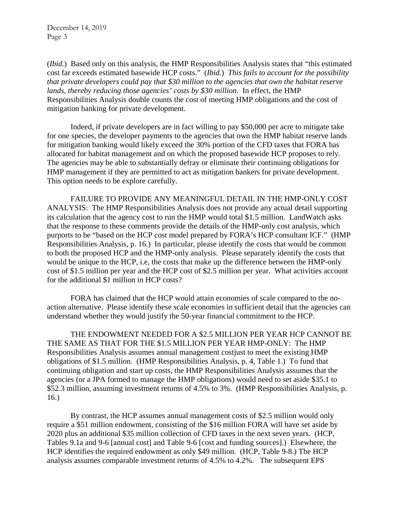(*Ibid.*) Based only on this analysis, the HMP Responsibilities Analysis states that "this estimated cost far exceeds estimated basewide HCP costs." (*Ibid.*) *This fails to account for the possibility that private developers could pay that \$30 million to the agencies that own the habitat reserve lands, thereby reducing those agencies' costs by \$30 million.* In effect, the HMP Responsibilities Analysis double counts the cost of meeting HMP obligations and the cost of mitigation banking for private development.

Indeed, if private developers are in fact willing to pay \$50,000 per acre to mitigate take for one species, the developer payments to the agencies that own the HMP habitat reserve lands for mitigation banking would likely exceed the 30% portion of the CFD taxes that FORA has allocated for habitat management and on which the proposed basewide HCP proposes to rely. The agencies may be able to substantially defray or eliminate their continuing obligations for HMP management if they are permitted to act as mitigation bankers for private development. This option needs to be explore carefully.

FAILURE TO PROVIDE ANY MEANINGFUL DETAIL IN THE HMP-ONLY COST ANALYSIS: The HMP Responsibilities Analysis does not provide any actual detail supporting its calculation that the agency cost to run the HMP would total \$1.5 million. LandWatch asks that the response to these comments provide the details of the HMP-only cost analysis, which purports to be "based on the HCP cost model prepared by FORA's HCP consultant ICF." (HMP Responsibilities Analysis, p. 16.) In particular, please identify the costs that would be common to both the proposed HCP and the HMP-only analysis. Please separately identify the costs that would be unique to the HCP, i.e, the costs that make up the difference between the HMP-only cost of \$1.5 million per year and the HCP cost of \$2.5 million per year. What activities account for the additional \$1 million in HCP costs?

FORA has claimed that the HCP would attain economies of scale compared to the noaction alternative. Please identify these scale economies in sufficient detail that the agencies can understand whether they would justify the 50-year financial commitment to the HCP.

THE ENDOWMENT NEEDED FOR A \$2.5 MILLION PER YEAR HCP CANNOT BE THE SAME AS THAT FOR THE \$1.5 MILLION PER YEAR HMP-ONLY: The HMP Responsibilities Analysis assumes annual management costjust to meet the existing HMP obligations of \$1.5 million. (HMP Responsibilities Analysis, p. 4, Table 1.) To fund that continuing obligation and start up costs, the HMP Responsibilities Analysis assumes that the agencies (or a JPA formed to manage the HMP obligations) would need to set aside \$35.1 to \$52.3 million, assuming investment returns of 4.5% to 3%. (HMP Responsibilities Analysis, p. 16.)

By contrast, the HCP assumes annual management costs of \$2.5 million would only require a \$51 million endowment, consisting of the \$16 million FORA will have set aside by 2020 plus an additional \$35 million collection of CFD taxes in the next seven years. (HCP, Tables 9.1a and 9-6 [annual cost] and Table 9-6 [cost and funding sources].) Elsewhere, the HCP identifies the required endowment as only \$49 million. (HCP, Table 9-8.) The HCP analysis assumes comparable investment returns of 4.5% to 4.2%. The subsequent EPS